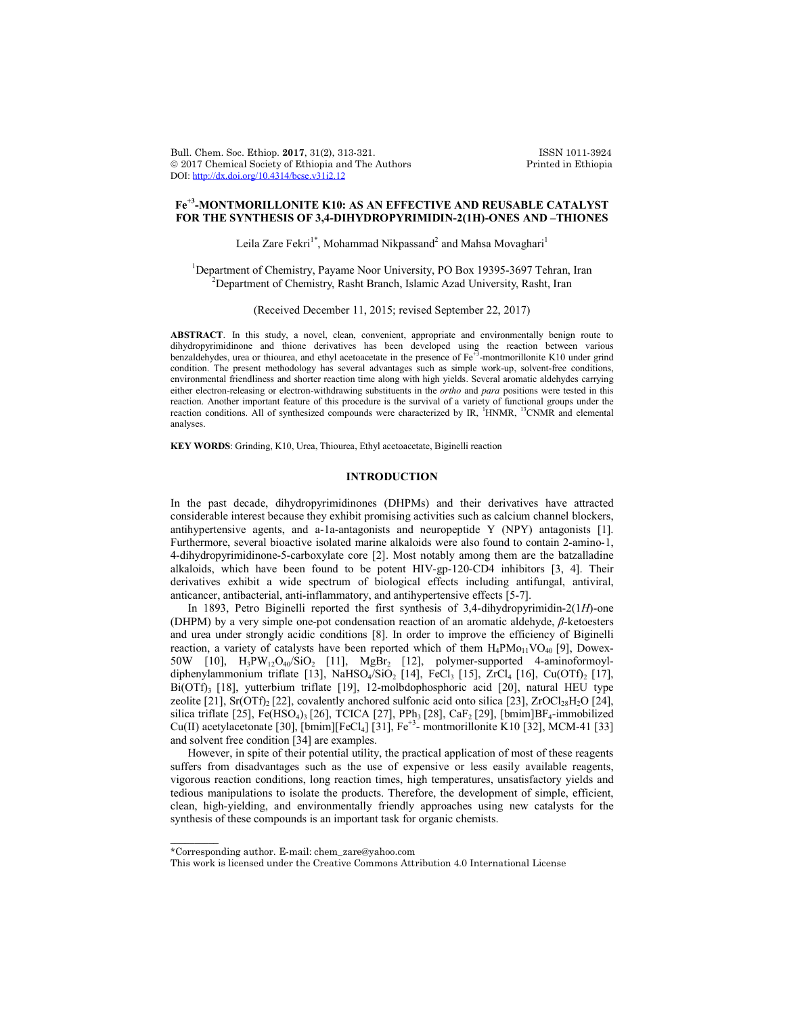Bull. Chem. Soc. Ethiop. 2017, 31(2), 313-321. ISSN 1011-3924<br>
© 2017 Chemical Society of Ethiopia and The Authors Printed in Ethiopia  $© 2017$  Chemical Society of Ethiopia and The Authors DOI: http://dx.doi.org/10.4314/bcse.v31i2.12

# **Fe+3-MONTMORILLONITE K10: AS AN EFFECTIVE AND REUSABLE CATALYST FOR THE SYNTHESIS OF 3,4-DIHYDROPYRIMIDIN-2(1H)-ONES AND –THIONES**

Leila Zare Fekri<sup>1\*</sup>, Mohammad Nikpassand<sup>2</sup> and Mahsa Movaghari<sup>1</sup>

<sup>1</sup>Department of Chemistry, Payame Noor University, PO Box 19395-3697 Tehran, Iran <sup>2</sup> Department of Chemistry, Basht Bransh, Jalemie Aged University, Basht Jran  $^{2}$ Department of Chemistry, Rasht Branch, Islamic Azad University, Rasht, Iran

(Received December 11, 2015; revised September 22, 2017)

**ABSTRACT**. In this study, a novel, clean, convenient, appropriate and environmentally benign route to dihydropyrimidinone and thione derivatives has been developed using the reaction between various benzaldehydes, urea or thiourea, and ethyl acetoacetate in the presence of Fe+3-montmorillonite K10 under grind condition. The present methodology has several advantages such as simple work-up, solvent-free conditions, environmental friendliness and shorter reaction time along with high yields. Several aromatic aldehydes carrying either electron-releasing or electron-withdrawing substituents in the *ortho* and *para* positions were tested in this reaction. Another important feature of this procedure is the survival of a variety of functional groups under the<br>reaction conditions. All of synthesized compounds were characterized by IR, <sup>1</sup>HNMR, <sup>13</sup>CNMR and elemental analyses.

**KEY WORDS**: Grinding, K10, Urea, Thiourea, Ethyl acetoacetate, Biginelli reaction

## **INTRODUCTION**

In the past decade, dihydropyrimidinones (DHPMs) and their derivatives have attracted considerable interest because they exhibit promising activities such as calcium channel blockers, antihypertensive agents, and a-1a-antagonists and neuropeptide Y (NPY) antagonists [1]. Furthermore, several bioactive isolated marine alkaloids were also found to contain 2-amino-1, 4-dihydropyrimidinone-5-carboxylate core [2]. Most notably among them are the batzalladine alkaloids, which have been found to be potent HIV-gp-120-CD4 inhibitors [3, 4]. Their derivatives exhibit a wide spectrum of biological effects including antifungal, antiviral, anticancer, antibacterial, anti-inflammatory, and antihypertensive effects [5-7].

In 1893, Petro Biginelli reported the first synthesis of 3,4-dihydropyrimidin-2(1*H*)-one (DHPM) by a very simple one-pot condensation reaction of an aromatic aldehyde, *β*-ketoesters and urea under strongly acidic conditions [8]. In order to improve the efficiency of Biginelli reaction, a variety of catalysts have been reported which of them  $H_4PMO_{11}VO_{40}$  [9], Dowex-50W [10],  $H_3PW_{12}O_{40}/SiO_2$  [11],  $MgBr_2$  [12], polymer-supported 4-aminoformoyldiphenylammonium triflate [13], NaHSO<sub>4</sub>/SiO<sub>2</sub> [14], FeCl<sub>3</sub> [15], ZrCl<sub>4</sub> [16], Cu(OTf)<sub>2</sub> [17],  $Bi(OTf)$ <sub>3</sub> [18], yutterbium triflate [19], 12-molbdophosphoric acid [20], natural HEU type zeolite [21], Sr(OTf)<sub>2</sub> [22], covalently anchored sulfonic acid onto silica [23], ZrOCl<sub>28</sub>H<sub>2</sub>O [24], silica triflate [25], Fe(HSO<sub>4</sub>)<sub>3</sub> [26], TCICA [27], PPh<sub>3</sub> [28], CaF<sub>2</sub> [29], [bmim]BF<sub>4</sub>-immobilized Cu(II) acetylacetonate [30], [bmim][FeCl<sub>4</sub>] [31], Fe<sup>+3</sup>- montmorillonite K10 [32], MCM-41 [33] and solvent free condition [34] are examples.

However, in spite of their potential utility, the practical application of most of these reagents suffers from disadvantages such as the use of expensive or less easily available reagents, vigorous reaction conditions, long reaction times, high temperatures, unsatisfactory yields and tedious manipulations to isolate the products. Therefore, the development of simple, efficient, clean, high-yielding, and environmentally friendly approaches using new catalysts for the synthesis of these compounds is an important task for organic chemists.

 $\overline{\phantom{a}}$ 

<sup>\*</sup>Corresponding author. E-mail: chem\_zare@yahoo.com

This work is licensed under the Creative Commons Attribution 4.0 International License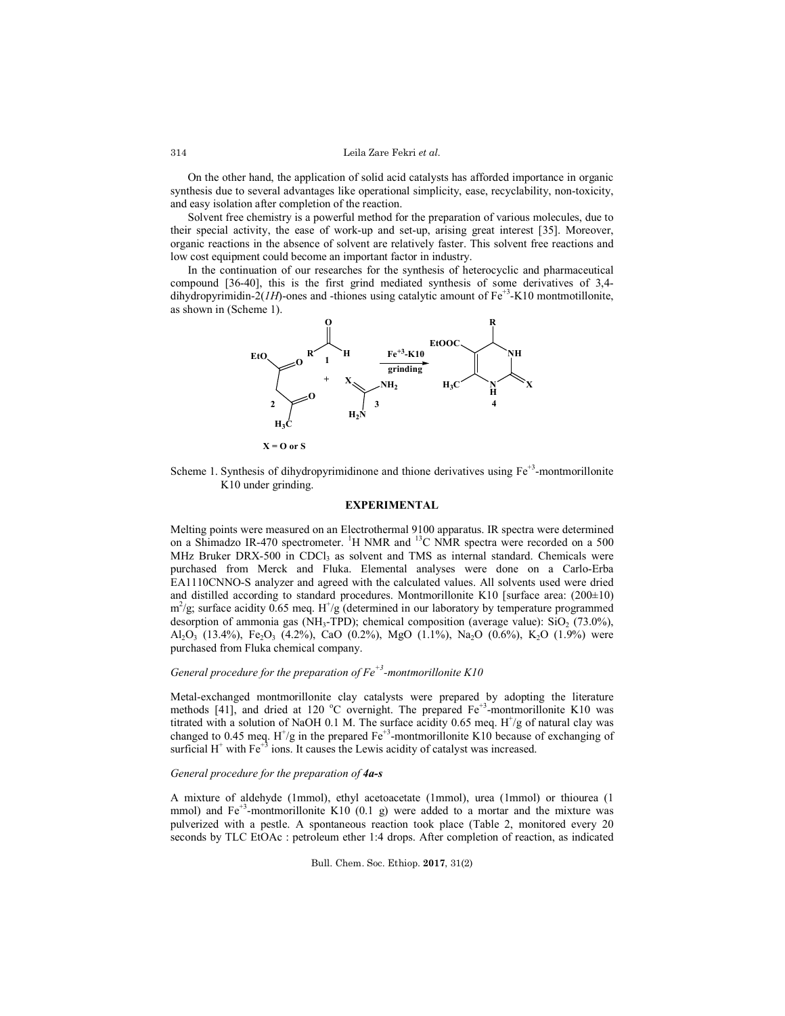On the other hand, the application of solid acid catalysts has afforded importance in organic synthesis due to several advantages like operational simplicity, ease, recyclability, non-toxicity, and easy isolation after completion of the reaction.

Solvent free chemistry is a powerful method for the preparation of various molecules, due to their special activity, the ease of work-up and set-up, arising great interest [35]. Moreover, organic reactions in the absence of solvent are relatively faster. This solvent free reactions and low cost equipment could become an important factor in industry.

In the continuation of our researches for the synthesis of heterocyclic and pharmaceutical compound [36-40], this is the first grind mediated synthesis of some derivatives of 3,4 dihydropyrimidin-2( $IH$ )-ones and -thiones using catalytic amount of  $Fe<sup>+3</sup>$ -K10 montmotillonite, as shown in (Scheme 1).



**X = O or S**

Scheme 1. Synthesis of dihydropyrimidinone and thione derivatives using  $Fe<sup>+3</sup>$ -montmorillonite K10 under grinding.

#### **EXPERIMENTAL**

Melting points were measured on an Electrothermal 9100 apparatus. IR spectra were determined on a Shimadzo IR-470 spectrometer. <sup>1</sup>H NMR and <sup>13</sup>C NMR spectra were recorded on a 500 MHz Bruker DRX-500 in CDCl<sub>3</sub> as solvent and TMS as internal standard. Chemicals were purchased from Merck and Fluka. Elemental analyses were done on a Carlo-Erba EA1110CNNO-S analyzer and agreed with the calculated values. All solvents used were dried and distilled according to standard procedures. Montmorillonite K10 [surface area:  $(200\pm10)$ ]  $m^2$ /g; surface acidity 0.65 meq. H<sup>+</sup>/g (determined in our laboratory by temperature programmed desorption of ammonia gas (NH<sub>3</sub>-TPD); chemical composition (average value): SiO<sub>2</sub> (73.0%), Al<sub>2</sub>O<sub>3</sub> (13.4%), Fe<sub>2</sub>O<sub>3</sub> (4.2%), CaO (0.2%), MgO (1.1%), Na<sub>2</sub>O (0.6%), K<sub>2</sub>O (1.9%) were purchased from Fluka chemical company.

# *General procedure for the preparation of Fe<sup>+3</sup>-montmorillonite K10*

Metal-exchanged montmorillonite clay catalysts were prepared by adopting the literature methods [41], and dried at 120 °C overnight. The prepared  $Fe<sup>+3</sup>$ -montmorillonite K10 was titrated with a solution of NaOH 0.1 M. The surface acidity 0.65 meq.  $H^{\dagger}/g$  of natural clay was changed to 0.45 meq.  $H^{\dagger}/g$  in the prepared  $Fe^{\dagger}$ -montmorillonite K10 because of exchanging of surficial  $H^+$  with Fe<sup>+3</sup> ions. It causes the Lewis acidity of catalyst was increased.

### *General procedure for the preparation of 4a-s*

A mixture of aldehyde (1mmol), ethyl acetoacetate (1mmol), urea (1mmol) or thiourea (1 mmol) and  $Fe<sup>+3</sup>$ -montmorillonite K10 (0.1 g) were added to a mortar and the mixture was pulverized with a pestle. A spontaneous reaction took place (Table 2, monitored every 20 seconds by TLC EtOAc : petroleum ether 1:4 drops. After completion of reaction, as indicated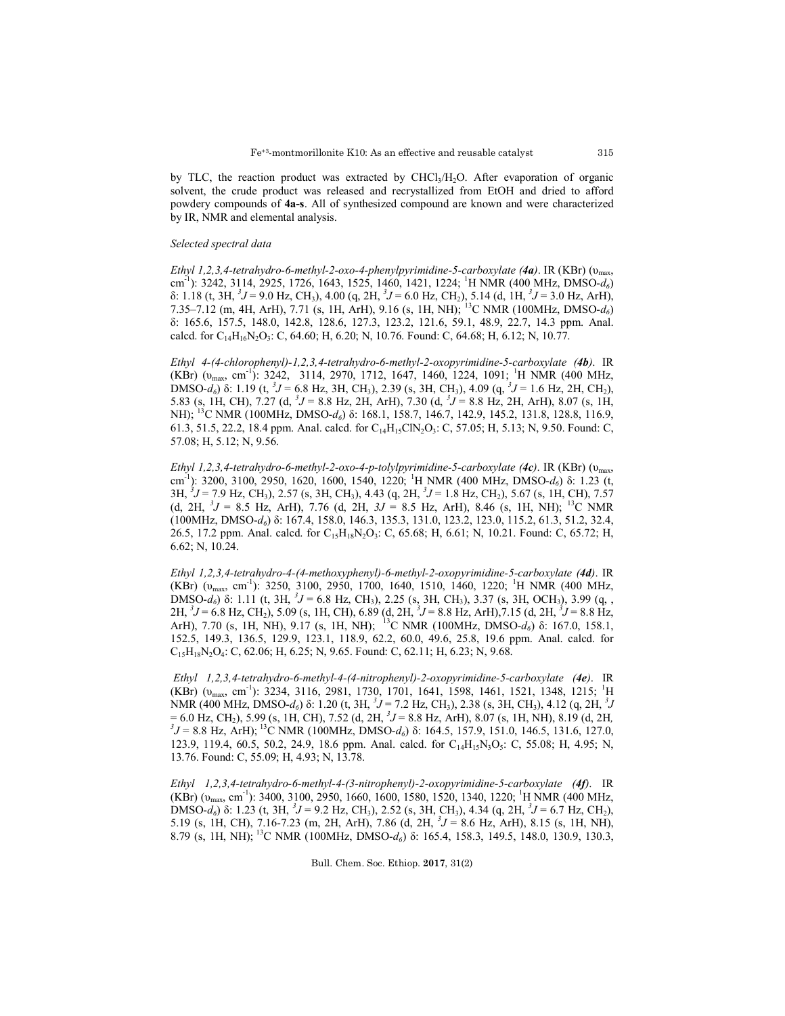by TLC, the reaction product was extracted by  $CHCl<sub>3</sub>/H<sub>2</sub>O$ . After evaporation of organic solvent, the crude product was released and recrystallized from EtOH and dried to afford powdery compounds of **4a-s**. All of synthesized compound are known and were characterized by IR, NMR and elemental analysis.

#### *Selected spectral data*

*Ethyl 1,2,3,4-tetrahydro-6-methyl-2-oxo-4-phenylpyrimidine-5-carboxylate (4a)*. IR (KBr) (υmax, cm-1 ): 3242, 3114, 2925, 1726, 1643, 1525, 1460, 1421, 1224; <sup>1</sup> H NMR (400 MHz, DMSO-*d6*) δ: 1.18 (t, 3H,  ${}^{3}J$  = 9.0 Hz, CH<sub>3</sub>), 4.00 (q, 2H,  ${}^{3}J$  = 6.0 Hz, CH<sub>2</sub>), 5.14 (d, 1H,  ${}^{3}J$  = 3.0 Hz, ArH), 7.35–7.12 (m, 4H, ArH), 7.71 (s, 1H, ArH), 9.16 (s, 1H, NH); 13C NMR (100MHz, DMSO-*d6*) δ: 165.6, 157.5, 148.0, 142.8, 128.6, 127.3, 123.2, 121.6, 59.1, 48.9, 22.7, 14.3 ppm. Anal. calcd. for  $C_{14}H_{16}N_2O_3$ : C, 64.60; H, 6.20; N, 10.76. Found: C, 64.68; H, 6.12; N, 10.77.

*Ethyl 4-(4-chlorophenyl)-1,2,3,4-tetrahydro-6-methyl-2-oxopyrimidine-5-carboxylate (4b)*. IR (KBr)  $(v_{max}, cm^{-1})$ : 3242, 3114, 2970, 1712, 1647, 1460, 1224, 1091; <sup>1</sup>H NMR (400 MHz, DMSO-*d<sub>6</sub>*) δ: 1.19 (t, <sup>3</sup>J = 6.8 Hz, 3H, CH<sub>3</sub>), 2.39 (s, 3H, CH<sub>3</sub>), 4.09 (q, <sup>3</sup>J = 1.6 Hz, 2H, CH<sub>2</sub>), 5.83 (s, 1H, CH), 7.27 (d,  ${}^{3}J = 8.8$  Hz, 2H, ArH), 7.30 (d,  ${}^{3}J = 8.8$  Hz, 2H, ArH), 8.07 (s, 1H, NH); <sup>13</sup>C NMR (100MHz, DMSO-*d*<sub>6</sub>) δ: 168.1, 158.7, 146.7, 142.9, 145.2, 131.8, 128.8, 116.9, 61.3, 51.5, 22.2, 18.4 ppm. Anal. calcd. for  $C_{14}H_{15}CIN_2O_3$ : C, 57.05; H, 5.13; N, 9.50. Found: C, 57.08; H, 5.12; N, 9.56.

*Ethyl 1,2,3,4-tetrahydro-6-methyl-2-oxo-4-p-tolylpyrimidine-5-carboxylate (4c)*. IR (KBr) (υmax, cm-1 ): 3200, 3100, 2950, 1620, 1600, 1540, 1220; <sup>1</sup> H NMR (400 MHz, DMSO-*d6*) δ: 1.23 (t, 3H, <sup>3</sup>J = 7.9 Hz, CH<sub>3</sub>), 2.57 (s, 3H, CH<sub>3</sub>), 4.43 (q, 2H, <sup>3</sup>J = 1.8 Hz, CH<sub>2</sub>), 5.67 (s, 1H, CH), 7.57 (d, 2H,  ${}^{3}J = 8.5$  Hz, ArH), 7.76 (d, 2H,  $3J = 8.5$  Hz, ArH), 8.46 (s, 1H, NH); <sup>13</sup>C NMR (100MHz, DMSO-*d6*) δ: 167.4, 158.0, 146.3, 135.3, 131.0, 123.2, 123.0, 115.2, 61.3, 51.2, 32.4, 26.5, 17.2 ppm. Anal. calcd. for  $C_{15}H_{18}N_2O_3$ : C, 65.68; H, 6.61; N, 10.21. Found: C, 65.72; H, 6.62; N, 10.24.

*Ethyl 1,2,3,4-tetrahydro-4-(4-methoxyphenyl)-6-methyl-2-oxopyrimidine-5-carboxylate (4d)*. IR (KBr)  $(v_{max}, cm^{-1})$ : 3250, 3100, 2950, 1700, 1640, 1510, 1460, 1220; <sup>1</sup>H NMR (400 MHz, DMSO- $d_6$ ) δ: 1.11 (t, 3H, <sup>3</sup>J = 6.8 Hz, CH<sub>3</sub>), 2.25 (s<sub>2</sub> 3H, CH<sub>3</sub>), 3.37 (s, 3H, OCH<sub>3</sub>), 3.99 (q, ,  $2H, \, \frac{3}{J} = 6.8$  Hz, CH<sub>2</sub>), 5.09 (s, 1H, CH), 6.89 (d, 2H,  $\frac{3}{J} = 8.8$  Hz, ArH), 7.15 (d, 2H,  $\frac{3}{J} = 8.8$  Hz, ArH), 7.70 (s, 1H, NH), 9.17 (s, 1H, NH); 13C NMR (100MHz, DMSO-*d6*) δ: 167.0, 158.1, 152.5, 149.3, 136.5, 129.9, 123.1, 118.9, 62.2, 60.0, 49.6, 25.8, 19.6 ppm. Anal. calcd. for  $C_{15}H_{18}N_2O_4$ : C, 62.06; H, 6.25; N, 9.65. Found: C, 62.11; H, 6.23; N, 9.68.

*Ethyl 1,2,3,4-tetrahydro-6-methyl-4-(4-nitrophenyl)-2-oxopyrimidine-5-carboxylate (4e)*. IR (KBr) (v<sub>max</sub>, cm<sup>-1</sup>): 3234, 3116, 2981, 1730, 1701, 1641, 1598, 1461, 1521, 1348, 1215; <sup>1</sup>H NMR (400 MHz, DMSO-*d*<sub>6</sub>) δ: 1.20 (t, 3H, <sup>3</sup>J = 7.2 Hz, CH<sub>3</sub>), 2.38 (s, 3H, CH<sub>3</sub>), 4.12 (q, 2H, <sup>3</sup>J  $= 6.0$  Hz, CH<sub>2</sub>), 5.99 (s, 1H, CH), 7.52 (d, 2H, <sup>3</sup> $J = 8.8$  Hz, ArH), 8.07 (s, 1H, NH), 8.19 (d, 2H, 3<sup>*j*</sup> =  $\frac{9.8 \text{ Hz}}{2.4 \text{ Hz}}$ , ArH), 8.19 (d, 2H, 3<sup>*j*</sup> =  $\frac{9.8 \text{ Hz}}{2.4 \text{ Hz}}$ , ArH), 8.19 (d, 2H, 3<sup>*j*</sup> =  $\frac{$  ${}^{3}$ J = 8.8 Hz, ArH); <sup>13</sup>C NMR (100MHz, DMSO- $d_6$ ) δ: 164.5, 157.9, 151.0, 146.5, 131.6, 127.0, 123.9, 119.4, 60.5, 50.2, 24.9, 18.6 ppm. Anal. calcd. for C<sub>14</sub>H<sub>15</sub>N<sub>3</sub>O<sub>5</sub>: C, 55.08; H, 4.95; N, 13.76. Found: C, 55.09; H, 4.93; N, 13.78.

*Ethyl 1,2,3,4-tetrahydro-6-methyl-4-(3-nitrophenyl)-2-oxopyrimidine-5-carboxylate (4f)*. IR (KBr)  $(v_{max}, cm^{-1})$ : 3400, 3100, 2950, 1660, 1600, 1580, 1520, 1340, 1220; <sup>1</sup>H NMR (400 MHz, DMSO-*d<sub>6</sub>*) δ: 1.23 (t, 3H, <sup>3</sup>J = 9.2 Hz, CH<sub>3</sub>), 2.52 (s, 3H, CH<sub>3</sub>), 4.34 (q, 2H, <sup>3</sup>J = 6.7 Hz, CH<sub>2</sub>), 5.19 (s, 1H, CH), 7.16-7.23 (m, 2H, ArH), 7.86 (d, 2H, *<sup>3</sup> J* = 8.6 Hz, ArH), 8.15 (s, 1H, NH), 8.79 (s, 1H, NH); 13C NMR (100MHz, DMSO-*d6*) δ: 165.4, 158.3, 149.5, 148.0, 130.9, 130.3,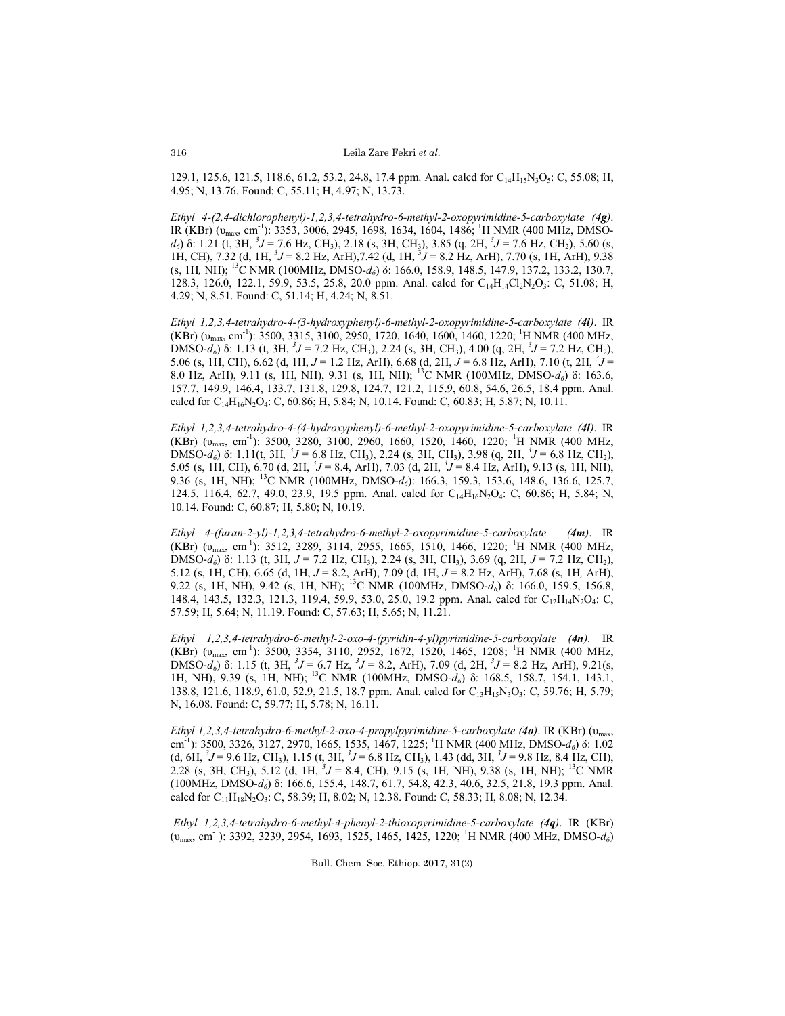129.1, 125.6, 121.5, 118.6, 61.2, 53.2, 24.8, 17.4 ppm. Anal. calcd for  $C_{14}H_{15}N_3O_5$ : C, 55.08; H, 4.95; N, 13.76. Found: C, 55.11; H, 4.97; N, 13.73.

*Ethyl 4-(2,4-dichlorophenyl)-1,2,3,4-tetrahydro-6-methyl-2-oxopyrimidine-5-carboxylate (4g)*. IR (KBr) (v<sub>max</sub>, cm<sup>-1</sup>): 3353, 3006, 2945, 1698, 1634, 1604, 1486; <sup>1</sup>H NMR (400 MHz, DMSO*d<sub>6</sub>*) δ: 1.21 (t, 3H,  ${}^{3}J = 7.6$  Hz, CH<sub>3</sub>), 2.18 (s, 3H, CH<sub>3</sub>), 3.85 (q, 2H,  ${}^{3}J = 7.6$  Hz, CH<sub>2</sub>), 5.60 (s, 1H, CH), 7.32 (d, 1H,  ${}^{3}J = 8.2$  Hz, ArH), 7.42 (d, 1H,  ${}^{3}J = 8.2$  Hz, ArH), 7.70 (s, 1H, ArH), 9.38 (s, 1H*,* NH); 13C NMR (100MHz, DMSO-*d6*) δ: 166.0, 158.9, 148.5, 147.9, 137.2, 133.2, 130.7, 128.3, 126.0, 122.1, 59.9, 53.5, 25.8, 20.0 ppm. Anal. calcd for  $C_{14}H_{14}C_{2}N_{2}O_{3}$ : C, 51.08; H, 4.29; N, 8.51. Found: C, 51.14; H, 4.24; N, 8.51.

*Ethyl 1,2,3,4-tetrahydro-4-(3-hydroxyphenyl)-6-methyl-2-oxopyrimidine-5-carboxylate (4i)*. IR (KBr)  $(v_{max}, cm^{-1})$ : 3500, 3315, 3100, 2950, 1720, 1640, 1600, 1460, 1220; <sup>1</sup>H NMR (400 MHz, DMSO-*d<sub>6</sub>*) δ: 1.13 (t, 3H, <sup>3</sup>J = 7.2 Hz, CH<sub>3</sub>), 2.24 (s, 3H, CH<sub>3</sub>), 4.00 (q, 2H, <sup>3</sup>J = 7.2 Hz, CH<sub>2</sub>), 5.06 (s, 1H, CH), 6.62 (d, 1H,  $J = 1.2$  Hz, ArH), 6.68 (d, 2H,  $J = 6.8$  Hz, ArH), 7.10 (t, 2H,  ${}^{3}J =$ 8.0 Hz, ArH), 9.11 (s, 1H, NH), 9.31 (s, 1H, NH); <sup>13</sup>C NMR (100MHz, DMSO-*d<sub>6</sub>*) δ: 163.6, 157.7, 149.9, 146.4, 133.7, 131.8, 129.8, 124.7, 121.2, 115.9, 60.8, 54.6, 26.5, 18.4 ppm. Anal. calcd for  $C_{14}H_{16}N_2O_4$ : C, 60.86; H, 5.84; N, 10.14. Found: C, 60.83; H, 5.87; N, 10.11.

*Ethyl 1,2,3,4-tetrahydro-4-(4-hydroxyphenyl)-6-methyl-2-oxopyrimidine-5-carboxylate (4l)*. IR (KBr)  $(v_{max}, cm^{-1})$ : 3500, 3280, 3100, 2960, 1660, 1520, 1460, 1220; <sup>1</sup>H NMR (400 MHz, DMSO-*d<sub>6</sub>*) δ: 1.11(t, 3H, <sup>3</sup>J = 6.8 Hz, CH<sub>3</sub>), 2.24 (s, 3H, CH<sub>3</sub>), 3.98 (q, 2H, <sup>3</sup>J = 6.8 Hz, CH<sub>2</sub>), 5.05 (s, 1H, CH), 6.70 (d, 2H,  ${}^{3}J = 8.4$ , ArH), 7.03 (d, 2H,  ${}^{3}J = 8.4$  Hz, ArH), 9.13 (s, 1H, NH), 9.36 (s, 1H, NH); <sup>13</sup>C NMR (100MHz, DMSO-*d*<sub>6</sub>): 166.3, 159.3, 153.6, 148.6, 136.6, 125.7, 124.5, 116.4, 62.7, 49.0, 23.9, 19.5 ppm. Anal. calcd for  $C_{14}H_{16}N_2O_4$ : C, 60.86; H, 5.84; N, 10.14. Found: C, 60.87; H, 5.80; N, 10.19.

*Ethyl 4-(furan-2-yl)-1,2,3,4-tetrahydro-6-methyl-2-oxopyrimidine-5-carboxylate (4m)*. IR  $(KBr)$  ( $v_{max}$ , cm<sup>-1</sup>): 3512, 3289, 3114, 2955, 1665, 1510, 1466, 1220; <sup>1</sup>H NMR (400 MHz, DMSO-*d6*) δ: 1.13 (t, 3H, *J* = 7.2 Hz, CH3), 2.24 (s, 3H, CH3), 3.69 (q, 2H, *J* = 7.2 Hz, CH2), 5.12 (s, 1H, CH), 6.65 (d, 1H, *J* = 8.2, ArH), 7.09 (d, 1H, *J* = 8.2 Hz, ArH), 7.68 (s, 1H*,* ArH), 9.22 (s, 1H, NH), 9.42 (s, 1H, NH); 13C NMR (100MHz, DMSO-*d6*) δ: 166.0, 159.5, 156.8, 148.4, 143.5, 132.3, 121.3, 119.4, 59.9, 53.0, 25.0, 19.2 ppm. Anal. calcd for  $C_{12}H_{14}N_2O_4$ : C, 57.59; H, 5.64; N, 11.19. Found: C, 57.63; H, 5.65; N, 11.21.

*Ethyl 1,2,3,4-tetrahydro-6-methyl-2-oxo-4-(pyridin-4-yl)pyrimidine-5-carboxylate (4n)*. IR (KBr)  $(v_{max}, cm^{-1})$ : 3500, 3354, 3110, 2952, 1672, 1520, 1465, 1208; <sup>1</sup>H NMR (400 MHz, DMSO-*d<sub>6</sub>*) δ: 1.15 (t, 3H, <sup>3</sup>J = 6.7 Hz, <sup>3</sup>J = 8.2, ArH), 7.09 (d, 2H, <sup>3</sup>J = 8.2 Hz, ArH), 9.21(s, 1H, NH), 9.39 (s, 1H, NH); 13C NMR (100MHz, DMSO*-d6*) δ: 168.5, 158.7, 154.1, 143.1, 138.8, 121.6, 118.9, 61.0, 52.9, 21.5, 18.7 ppm. Anal. calcd for C<sub>13</sub>H<sub>15</sub>N<sub>3</sub>O<sub>3</sub>: C, 59.76; H, 5.79; N, 16.08. Found: C, 59.77; H, 5.78; N, 16.11.

*Ethyl 1,2,3,4-tetrahydro-6-methyl-2-oxo-4-propylpyrimidine-5-carboxylate (4o)*. IR (KBr) (υmax, cm<sup>-1</sup>): 3500, 3326, 3127, 2970, 1665, 1535, 1467, 1225; <sup>1</sup>H NMR (400 MHz, DMSO-*d*<sub>6</sub>) δ: 1.02  $(d, 6H, {}^{3}J = 9.6 \text{ Hz}, \text{CH}_3)$ , 1.15  $(t, 3H, {}^{3}J = 6.8 \text{ Hz}, \text{CH}_3)$ , 1.43  $(dd, 3H, {}^{3}J = 9.8 \text{ Hz}, 8.4 \text{ Hz}, \text{CH}_3)$ , 2.28 (s, 3H, CH3), 5.12 (d, 1H, *<sup>3</sup> J* = 8.4, CH), 9.15 (s, 1H*,* NH), 9.38 (s, 1H, NH); 13C NMR (100MHz, DMSO-*d6*) δ: 166.6, 155.4, 148.7, 61.7, 54.8, 42.3, 40.6, 32.5, 21.8, 19.3 ppm. Anal. calcd for C<sub>11</sub>H<sub>18</sub>N<sub>2</sub>O<sub>3</sub>: C, 58.39; H, 8.02; N, 12.38. Found: C, 58.33; H, 8.08; N, 12.34.

*Ethyl 1,2,3,4-tetrahydro-6-methyl-4-phenyl-2-thioxopyrimidine-5-carboxylate (4q)*. IR (KBr) (v<sub>max</sub>, cm<sup>-1</sup>): 3392, 3239, 2954, 1693, 1525, 1465, 1425, 1220; <sup>1</sup>H NMR (400 MHz, DMSO-*d*<sub>6</sub>)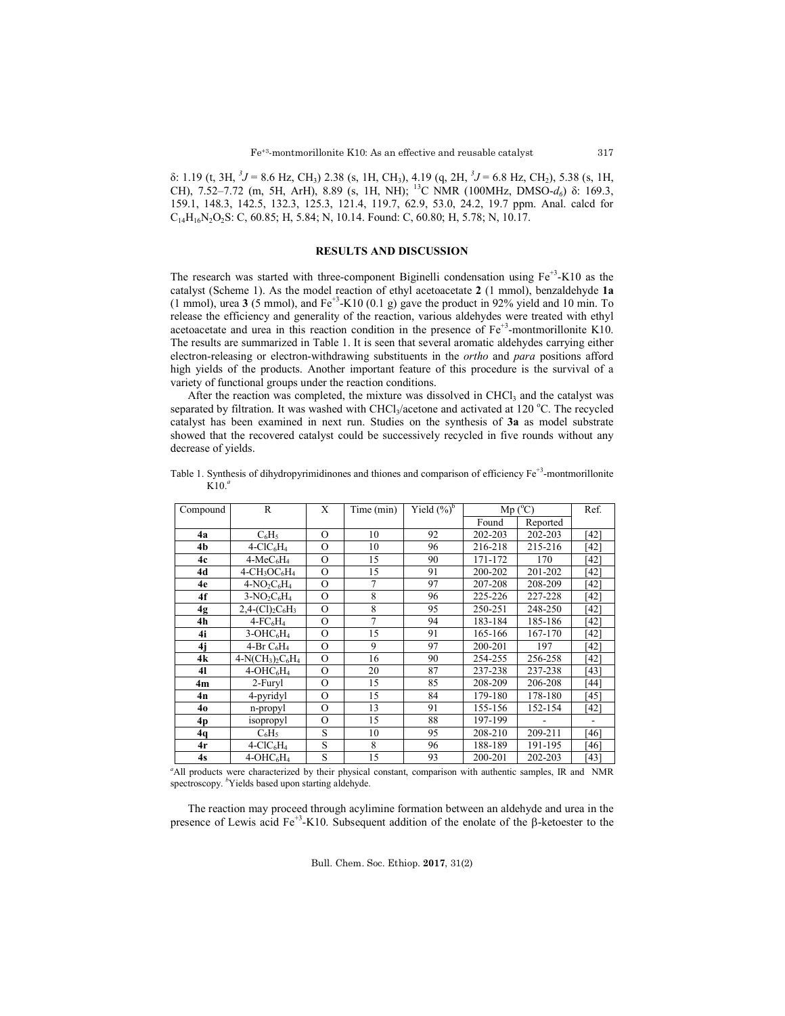δ: 1.19 (t, 3H,  ${}^{3}J$  = 8.6 Hz, CH<sub>3</sub>) 2.38 (s, 1H, CH<sub>3</sub>), 4.19 (q, 2H,  ${}^{3}J$  = 6.8 Hz, CH<sub>2</sub>), 5.38 (s, 1H, CH), 7.52–7.72 (m, 5H, ArH), 8.89 (s, 1H, NH); 13C NMR (100MHz, DMSO-*d6*) δ: 169.3, 159.1, 148.3, 142.5, 132.3, 125.3, 121.4, 119.7, 62.9, 53.0, 24.2, 19.7 ppm. Anal. calcd for  $C_{14}H_{16}N_2O_2S$ : C, 60.85; H, 5.84; N, 10.14. Found: C, 60.80; H, 5.78; N, 10.17.

# **RESULTS AND DISCUSSION**

The research was started with three-component Biginelli condensation using  $Fe^{+3}$ -K10 as the catalyst (Scheme 1). As the model reaction of ethyl acetoacetate **2** (1 mmol), benzaldehyde **1a**  $(1 \text{ mmol})$ , urea 3 (5 mmol), and Fe<sup>+3</sup>-K10 (0.1 g) gave the product in 92% yield and 10 min. To release the efficiency and generality of the reaction, various aldehydes were treated with ethyl acetoacetate and urea in this reaction condition in the presence of  $Fe<sup>+3</sup>$ -montmorillonite K10. The results are summarized in Table 1. It is seen that several aromatic aldehydes carrying either electron-releasing or electron-withdrawing substituents in the *ortho* and *para* positions afford high yields of the products. Another important feature of this procedure is the survival of a variety of functional groups under the reaction conditions.

After the reaction was completed, the mixture was dissolved in CHCl<sub>3</sub> and the catalyst was separated by filtration. It was washed with CHCl<sub>3</sub>/acetone and activated at 120 °C. The recycled catalyst has been examined in next run. Studies on the synthesis of **3a** as model substrate showed that the recovered catalyst could be successively recycled in five rounds without any decrease of yields.

| Compound | R                                                   | X        | Time (min)     | Yield $(\%)^b$ | $Mp(^{o}C)$ |          | Ref. |
|----------|-----------------------------------------------------|----------|----------------|----------------|-------------|----------|------|
|          |                                                     |          |                |                | Found       | Reported |      |
| 4a       | $C_6H_5$                                            | $\Omega$ | 10             | 92             | 202-203     | 202-203  | [42] |
| 4b       | $4-CIC6H4$                                          | $\Omega$ | 10             | 96             | 216-218     | 215-216  | [42] |
| 4c       | $4-MeC6H4$                                          | $\Omega$ | 15             | 90             | 171-172     | 170      | [42] |
| 4d       | $4$ -CH <sub>3</sub> OC <sub>6</sub> H <sub>4</sub> | $\Omega$ | 15             | 91             | 200-202     | 201-202  | [42] |
| 4e       | $4-NO_2C_6H_4$                                      | $\Omega$ | $\overline{7}$ | 97             | 207-208     | 208-209  | [42] |
| 4f       | $3-NO2C6H4$                                         | $\Omega$ | 8              | 96             | 225-226     | 227-228  | [42] |
| 4g       | $2,4-(Cl)_{2}C_{6}H_{3}$                            | $\Omega$ | 8              | 95             | 250-251     | 248-250  | [42] |
| 4h       | $4$ -FC <sub>6</sub> H <sub>4</sub>                 | $\Omega$ | 7              | 94             | 183-184     | 185-186  | [42] |
| 4i       | $3-OHC6H4$                                          | $\circ$  | 15             | 91             | 165-166     | 167-170  | [42] |
| 4i       | 4-Br $C_6H_4$                                       | $\Omega$ | 9              | 97             | 200-201     | 197      | [42] |
| 4k       | $4-N(CH_3)_2C_6H_4$                                 | $\Omega$ | 16             | 90             | 254-255     | 256-258  | [42] |
| 41       | $4-OHC6H4$                                          | $\Omega$ | 20             | 87             | 237-238     | 237-238  | [43] |
| 4m       | 2-Furyl                                             | $\Omega$ | 15             | 85             | 208-209     | 206-208  | [44] |
| 4n       | 4-pyridyl                                           | $\Omega$ | 15             | 84             | 179-180     | 178-180  | [45] |
| 40       | n-propyl                                            | $\Omega$ | 13             | 91             | 155-156     | 152-154  | [42] |
| 4p       | isopropyl                                           | $\Omega$ | 15             | 88             | 197-199     |          |      |
| 4q       | $C_6H_5$                                            | S        | 10             | 95             | 208-210     | 209-211  | [46] |
| 4r       | $4-CIC6H4$                                          | S        | 8              | 96             | 188-189     | 191-195  | [46] |
| 4s       | $\overline{4}$ -OHC <sub>6</sub> H <sub>4</sub>     | S        | 15             | 93             | 200-201     | 202-203  | [43] |

Table 1. Synthesis of dihydropyrimidinones and thiones and comparison of efficiency  $Fe^{+3}$ -montmorillonite K10. *a*

<sup>a</sup>All products were characterized by their physical constant, comparison with authentic samples, IR and NMR spectroscopy. <sup>b</sup>Yields based upon starting aldehyde.

The reaction may proceed through acylimine formation between an aldehyde and urea in the presence of Lewis acid  $Fe^{+3}$ -K10. Subsequent addition of the enolate of the  $\beta$ -ketoester to the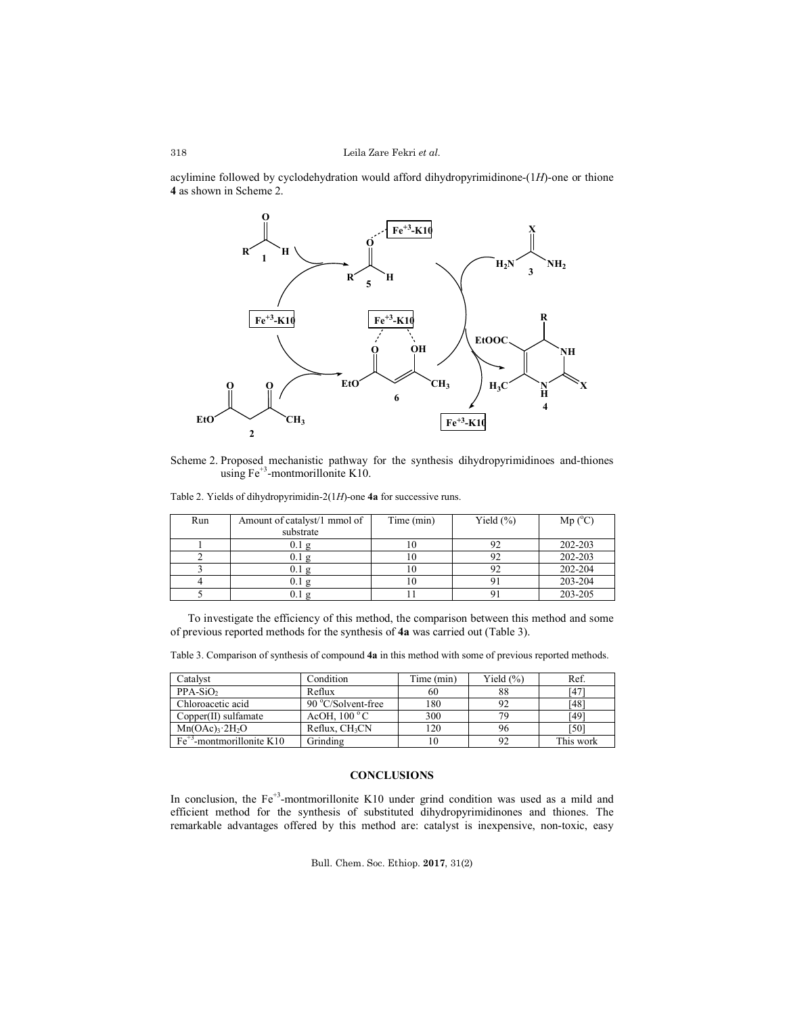acylimine followed by cyclodehydration would afford dihydropyrimidinone-(1*H*)-one or thione **4** as shown in Scheme 2.



Scheme 2. Proposed mechanistic pathway for the synthesis dihydropyrimidinoes and-thiones using  $Fe^{+3}$ -montmorillonite K10.

Table 2. Yields of dihydropyrimidin-2(1*H*)-one **4a** for successive runs.

| Run | Amount of catalyst/1 mmol of | Time (min) | Yield $(\% )$ | $Mp(^{o}C)$ |
|-----|------------------------------|------------|---------------|-------------|
|     | substrate                    |            |               |             |
|     | 0.1 g                        |            |               | 202-203     |
|     | 0.1 g                        |            |               | 202-203     |
|     | 0.1 g                        |            |               | 202-204     |
|     | 0.1 g                        | I O        |               | 203-204     |
|     |                              |            |               | 203-205     |

To investigate the efficiency of this method, the comparison between this method and some of previous reported methods for the synthesis of **4a** was carried out (Table 3).

|  |  |  |  | Table 3. Comparison of synthesis of compound 4a in this method with some of previous reported methods. |
|--|--|--|--|--------------------------------------------------------------------------------------------------------|
|  |  |  |  |                                                                                                        |

| Catalvst                                 | Condition                  | Time (min) | Yield $(\%)$ | Ref.      |
|------------------------------------------|----------------------------|------------|--------------|-----------|
| $PPA-SiO2$                               | Reflux                     | 60         | 88           | 147       |
| Chloroacetic acid                        | 90 °C/Solvent-free         | 180        | 92           | [48]      |
| $Copper(II)$ sulfamate                   | AcOH. $100^{\circ}$ C      | 300        | 79           | [49]      |
| $Mn(OAc)$ <sup>3</sup> 2H <sub>2</sub> O | Reflux. CH <sub>3</sub> CN | 120        | 96           | 501       |
| $Fe+3$ -montmorillonite K10              | Grinding                   | 10         | 92           | This work |

# **CONCLUSIONS**

In conclusion, the  $Fe<sup>3</sup>$ -montmorillonite K10 under grind condition was used as a mild and efficient method for the synthesis of substituted dihydropyrimidinones and thiones. The remarkable advantages offered by this method are: catalyst is inexpensive, non-toxic, easy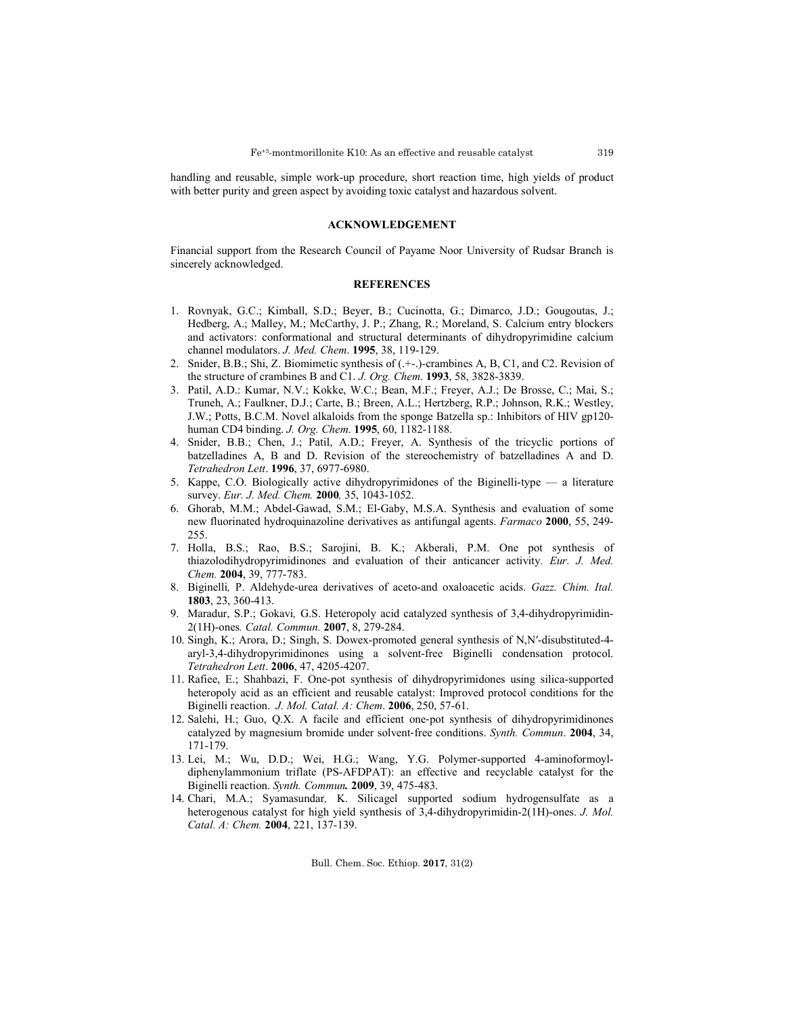handling and reusable, simple work-up procedure, short reaction time, high yields of product with better purity and green aspect by avoiding toxic catalyst and hazardous solvent.

## **ACKNOWLEDGEMENT**

Financial support from the Research Council of Payame Noor University of Rudsar Branch is sincerely acknowledged.

- 1. Rovnyak, G.C.; Kimball, S.D.; Beyer, B.; Cucinotta, G.; Dimarco, J.D.; Gougoutas, J.; Hedberg, A.; Malley, M.; McCarthy, J. P.; Zhang, R.; Moreland, S. Calcium entry blockers and activators: conformational and structural determinants of dihydropyrimidine calcium channel modulators. *J. Med. Chem*. **1995**, 38, 119-129.
- 2. Snider, B.B.; Shi, Z. Biomimetic synthesis of (.+-.)-crambines A, B, C1, and C2. Revision of the structure of crambines B and C1. *J. Org. Chem*. **1993**, 58, 3828-3839.
- 3. Patil, A.D.: Kumar, N.V.; Kokke, W.C.; Bean, M.F.; Freyer, A.J.; De Brosse, C.; Mai, S.; Truneh, A.; Faulkner, D.J.; Carte, B.; Breen, A.L.; Hertzberg, R.P.; Johnson, R.K.; Westley, J.W.; Potts, B.C.M. Novel alkaloids from the sponge Batzella sp.: Inhibitors of HIV gp120 human CD4 binding. *J. Org. Chem*. **1995**, 60, 1182-1188.
- 4. Snider, B.B.; Chen, J.; Patil, A.D.; Freyer, A. Synthesis of the tricyclic portions of batzelladines A, B and D. Revision of the stereochemistry of batzelladines A and D. *Tetrahedron Lett*. **1996**, 37, 6977-6980.
- 5. Kappe, C.O. Biologically active dihydropyrimidones of the Biginelli-type a literature survey. *Eur. J. Med. Chem.* **2000***,* 35, 1043-1052.
- 6. Ghorab, M.M.; Abdel-Gawad, S.M.; El-Gaby, M.S.A. Synthesis and evaluation of some new fluorinated hydroquinazoline derivatives as antifungal agents. *Farmaco* **2000**, 55, 249- 255.
- 7. Holla, B.S.; Rao, B.S.; Sarojini, B. K.; Akberali, P.M. One pot synthesis of thiazolodihydropyrimidinones and evaluation of their anticancer activity*. Eur. J. Med. Chem.* **2004**, 39, 777-783.
- 8. Biginelli*,* P. Aldehyde-urea derivatives of aceto-and oxaloacetic acids. *Gazz. Chim. Ital.* **1803**, 23, 360-413.
- 9. Maradur, S.P.; Gokavi*,* G.S. Heteropoly acid catalyzed synthesis of 3,4-dihydropyrimidin-2(1H)-ones*. Catal. Commun.* **2007**, 8, 279-284.
- 10. Singh, K.; Arora, D.; Singh, S. Dowex-promoted general synthesis of N,N′-disubstituted-4 aryl-3,4-dihydropyrimidinones using a solvent-free Biginelli condensation protocol. *Tetrahedron Lett*. **2006**, 47, 4205-4207.
- 11. Rafiee, E.; Shahbazi, F. One-pot synthesis of dihydropyrimidones using silica-supported heteropoly acid as an efficient and reusable catalyst: Improved protocol conditions for the Biginelli reaction. *J. Mol. Catal. A: Chem*. **2006**, 250, 57-61.
- 12. Salehi, H.; Guo, Q.X. A facile and efficient one‐pot synthesis of dihydropyrimidinones catalyzed by magnesium bromide under solvent‐free conditions. *Synth. Commun*. **2004**, 34, 171-179.
- 13. Lei, M.; Wu, D.D.; Wei, H.G.; Wang, Y.G. Polymer-supported 4-aminoformoyldiphenylammonium triflate (PS-AFDPAT): an effective and recyclable catalyst for the Biginelli reaction. *Synth. Commun.* **2009**, 39, 475-483.
- 14. Chari, M.A.; Syamasundar*,* K. Silicagel supported sodium hydrogensulfate as a heterogenous catalyst for high yield synthesis of 3,4-dihydropyrimidin-2(1H)-ones. *J. Mol. Catal. A: Chem.* **2004**, 221, 137-139.

# **REFERENCES**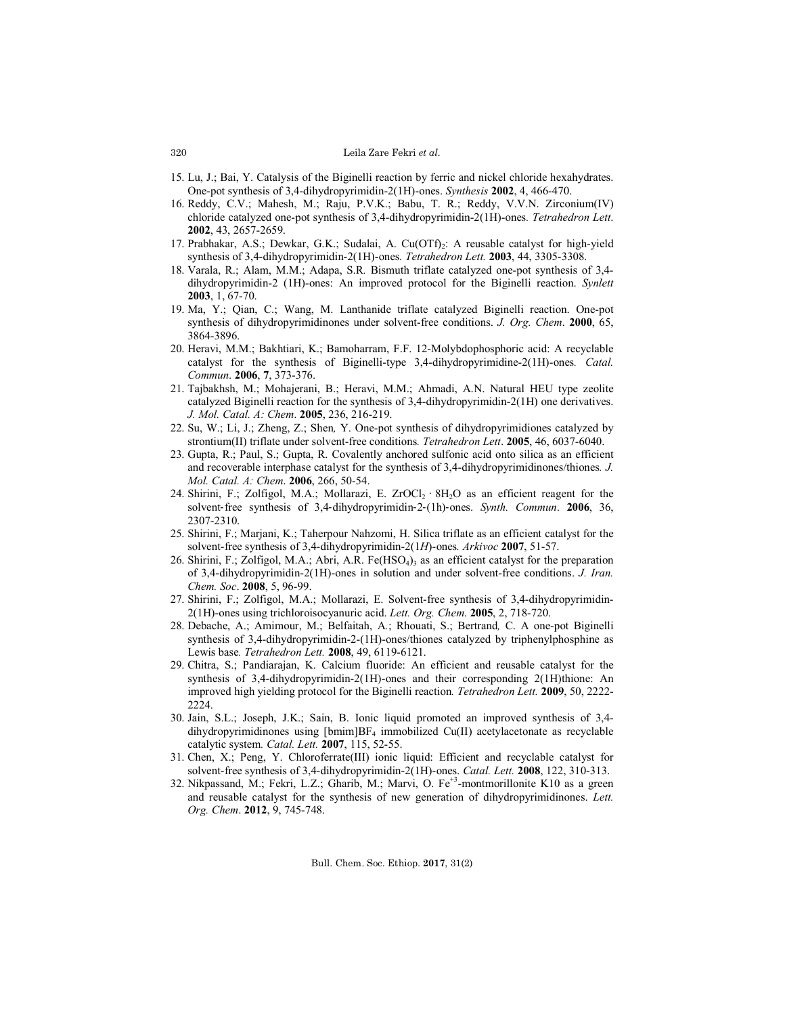### Leila Zare Fekri *et al.*

- 15. Lu, J.; Bai, Y. Catalysis of the Biginelli reaction by ferric and nickel chloride hexahydrates. One-pot synthesis of 3,4-dihydropyrimidin-2(1H)-ones. *Synthesis* **2002**, 4, 466-470.
- 16. Reddy, C.V.; Mahesh, M.; Raju, P.V.K.; Babu, T. R.; Reddy, V.V.N. Zirconium(IV) chloride catalyzed one-pot synthesis of 3,4-dihydropyrimidin-2(1H)-ones*. Tetrahedron Lett*. **2002**, 43, 2657-2659.
- 17. Prabhakar, A.S.; Dewkar, G.K.; Sudalai, A. Cu(OTf). A reusable catalyst for high-yield synthesis of 3,4-dihydropyrimidin-2(1H)-ones*. Tetrahedron Lett.* **2003**, 44, 3305-3308.
- 18. Varala, R.; Alam, M.M.; Adapa, S.R*.* Bismuth triflate catalyzed one-pot synthesis of 3,4 dihydropyrimidin-2 (1H)-ones: An improved protocol for the Biginelli reaction. *Synlett*  **2003**, 1, 67-70.
- 19. Ma, Y.; Qian, C.; Wang, M. Lanthanide triflate catalyzed Biginelli reaction. One-pot synthesis of dihydropyrimidinones under solvent-free conditions. *J. Org. Chem*. **2000**, 65, 3864-3896.
- 20. Heravi, M.M.; Bakhtiari, K.; Bamoharram, F.F. 12-Molybdophosphoric acid: A recyclable catalyst for the synthesis of Biginelli-type 3,4-dihydropyrimidine-2(1H)-ones*. Catal. Commun*. **2006**, **7**, 373-376.
- 21. Tajbakhsh, M.; Mohajerani, B.; Heravi, M.M.; Ahmadi, A.N. Natural HEU type zeolite catalyzed Biginelli reaction for the synthesis of 3,4-dihydropyrimidin-2(1H) one derivatives. *J. Mol. Catal. A: Chem*. **2005**, 236, 216-219.
- 22. Su, W.; Li, J.; Zheng, Z.; Shen*,* Y. One-pot synthesis of dihydropyrimidiones catalyzed by strontium(II) triflate under solvent-free conditions*. Tetrahedron Lett*. **2005**, 46, 6037-6040.
- 23. Gupta, R.; Paul, S.; Gupta, R. Covalently anchored sulfonic acid onto silica as an efficient and recoverable interphase catalyst for the synthesis of 3,4-dihydropyrimidinones/thiones*. J. Mol. Catal. A: Chem*. **2006**, 266, 50-54.
- 24. Shirini, F.; Zolfigol, M.A.; Mollarazi, E. ZrOCl<sub>2</sub> ·  $8H<sub>2</sub>O$  as an efficient reagent for the solvent‐free synthesis of 3,4‐dihydropyrimidin‐2‐(1h)‐ones. *Synth. Commun*. **2006**, 36, 2307-2310.
- 25. Shirini, F.; Marjani, K.; Taherpour Nahzomi, H. Silica triflate as an efficient catalyst for the solvent-free synthesis of 3,4-dihydropyrimidin-2(1*H*)-ones*. Arkivoc* **2007**, 51-57.
- 26. Shirini, F.; Zolfigol, M.A.; Abri, A.R. Fe $(HSO<sub>4</sub>)<sub>3</sub>$  as an efficient catalyst for the preparation of 3,4-dihydropyrimidin-2(1H)-ones in solution and under solvent-free conditions. *J. Iran. Chem. Soc*. **2008**, 5, 96-99.
- 27. Shirini, F.; Zolfigol, M.A.; Mollarazi, E. Solvent-free synthesis of 3,4-dihydropyrimidin-2(1H)-ones using trichloroisocyanuric acid. *Lett. Org. Chem*. **2005**, 2, 718-720.
- 28. Debache, A.; Amimour, M.; Belfaitah, A*.*; Rhouati, S.; Bertrand*,* C. A one-pot Biginelli synthesis of 3,4-dihydropyrimidin-2-(1H)-ones/thiones catalyzed by triphenylphosphine as Lewis base*. Tetrahedron Lett.* **2008**, 49, 6119-6121.
- 29. Chitra, S.; Pandiarajan, K. Calcium fluoride: An efficient and reusable catalyst for the synthesis of 3,4-dihydropyrimidin-2(1H)-ones and their corresponding 2(1H)thione: An improved high yielding protocol for the Biginelli reaction*. Tetrahedron Lett.* **2009**, 50, 2222- 2224.
- 30. Jain, S.L.; Joseph, J.K.; Sain, B. Ionic liquid promoted an improved synthesis of 3,4 dihydropyrimidinones using  $[bmin]BF_4$  immobilized Cu(II) acetylacetonate as recyclable catalytic system*. Catal. Lett.* **2007**, 115, 52-55.
- 31. Chen, X.; Peng, Y. Chloroferrate(III) ionic liquid: Efficient and recyclable catalyst for solvent-free synthesis of 3,4-dihydropyrimidin-2(1H)-ones. *Catal. Lett.* **2008**, 122, 310-313.
- 32. Nikpassand, M.; Fekri, L.Z.; Gharib, M.; Marvi, O. Fe<sup>+3</sup>-montmorillonite K10 as a green and reusable catalyst for the synthesis of new generation of dihydropyrimidinones. *Lett. Org. Chem*. **2012**, 9, 745-748.

Bull. Chem. Soc. Ethiop. **2017**, 31(2)

#### 320